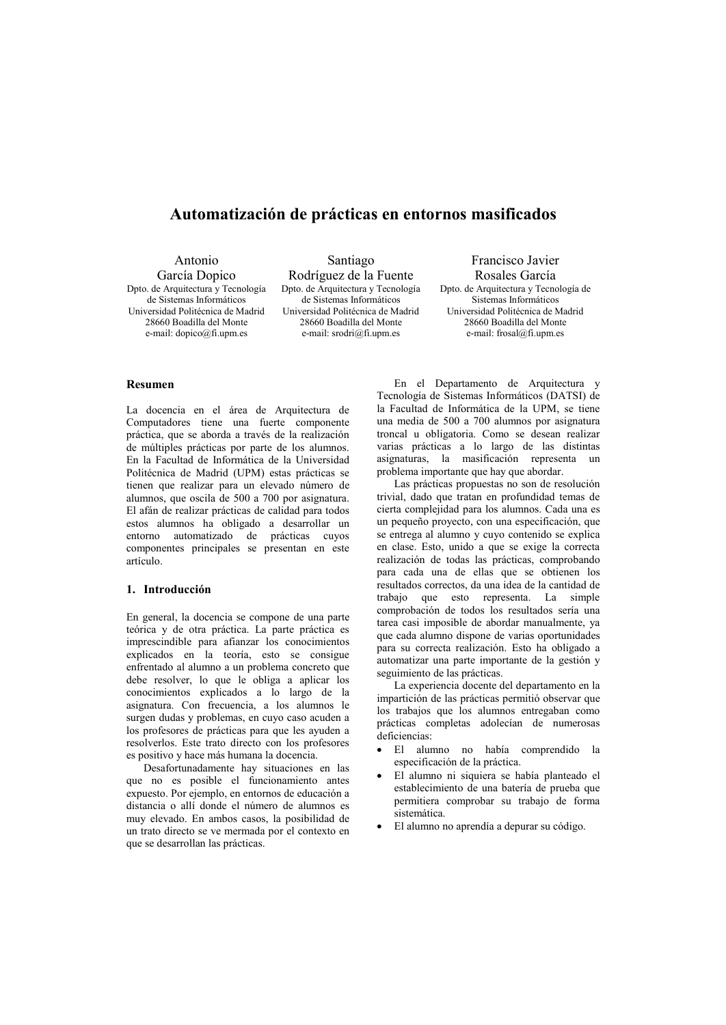# Automatización de prácticas en entornos masificados

| Antonio                                                                                                                                                                      | Santiago                                                                                                                                                        | Francisco Javier                                                                                                                                            |
|------------------------------------------------------------------------------------------------------------------------------------------------------------------------------|-----------------------------------------------------------------------------------------------------------------------------------------------------------------|-------------------------------------------------------------------------------------------------------------------------------------------------------------|
| García Dopico                                                                                                                                                                | Rodríguez de la Fuente                                                                                                                                          | Rosales García                                                                                                                                              |
| Dpto. de Arquitectura y Tecnología<br>de Sistemas Informáticos<br>Universidad Politécnica de Madrid<br>28660 Boadilla del Monte<br>e-mail: $dopico(\partial_1 f_1)$ , upm.es | Dpto. de Arquitectura y Tecnología<br>de Sistemas Informáticos<br>Universidad Politécnica de Madrid<br>28660 Boadilla del Monte<br>e-mail: $srodr(a)$ fi.upm.es | Dpto. de Arquitectura y Tecnología de<br>Sistemas Informáticos<br>Universidad Politécnica de Madrid<br>28660 Boadilla del Monte<br>e-mail: frosal@fi.upm.es |

# **Resumen**

La docencia en el área de Arquitectura de Computadores tiene una fuerte componente práctica, que se aborda a través de la realización de múltiples prácticas por parte de los alumnos. En la Facultad de Informática de la Universidad Politécnica de Madrid (UPM) estas prácticas se tienen que realizar para un elevado número de alumnos, que oscila de 500 a 700 por asignatura. El afán de realizar prácticas de calidad para todos estos alumnos ha obligado a desarrollar un entorno automatizado de prácticas cuyos componentes principales se presentan en este artículo

# 1. Introducción

En general, la docencia se compone de una parte teórica y de otra práctica. La parte práctica es imprescindible para afianzar los conocimientos explicados en la teoría, esto se consigue enfrentado al alumno a un problema concreto que debe resolver, lo que le obliga a aplicar los conocimientos explicados a lo largo de la asignatura. Con frecuencia, a los alumnos le surgen dudas y problemas, en cuyo caso acuden a los profesores de prácticas para que les ayuden a resolverlos. Este trato directo con los profesores es positivo y hace más humana la docencia.

Desafortunadamente hay situaciones en las que no es posible el funcionamiento antes expuesto. Por ejemplo, en entornos de educación a distancia o allí donde el número de alumnos es muy elevado. En ambos casos, la posibilidad de un trato directo se ve mermada por el contexto en que se desarrollan las prácticas.

En el Departamento de Arquitectura y Tecnología de Sistemas Informáticos (DATSI) de la Facultad de Informática de la UPM, se tiene una media de 500 a 700 alumnos por asignatura troncal u obligatoria. Como se desean realizar varias prácticas a lo largo de las distintas asignaturas, la masificación representa un problema importante que hay que abordar.

Las prácticas propuestas no son de resolución trivial, dado que tratan en profundidad temas de cierta complejidad para los alumnos. Cada una es un pequeño proyecto, con una especificación, que se entrega al alumno y cuyo contenido se explica en clase. Esto, unido a que se exige la correcta realización de todas las prácticas, comprobando para cada una de ellas que se obtienen los resultados correctos, da una idea de la cantidad de trabajo que esto representa. La simple comprobación de todos los resultados sería una tarea casi imposible de abordar manualmente, ya que cada alumno dispone de varias oportunidades para su correcta realización. Esto ha obligado a automatizar una parte importante de la gestión y seguimiento de las prácticas.

La experiencia docente del departamento en la impartición de las prácticas permitió observar que los trabajos que los alumnos entregaban como prácticas completas adolecían de numerosas deficiencias:

- El alumno no había comprendido la especificación de la práctica.
- El alumno ni siguiera se había planteado el establecimiento de una batería de prueba que permitiera comprobar su trabajo de forma sistemática
- · El alumno no aprendía a depurar su código.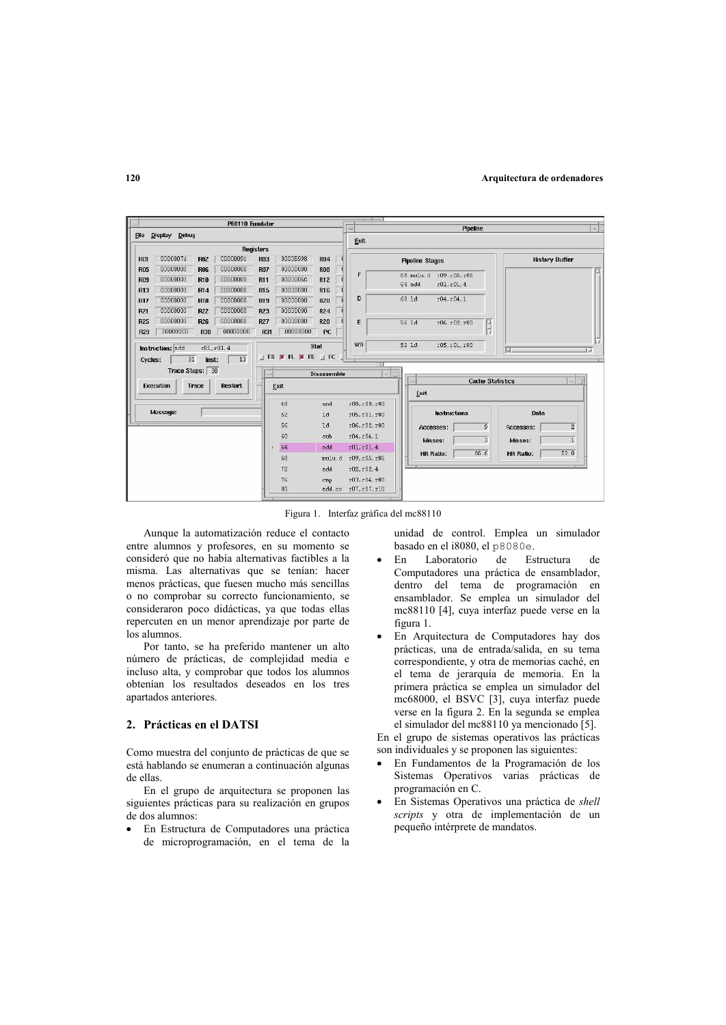

Figura 1. Interfaz gráfica del mc88110

Aunque la automatización reduce el contacto entre alumnos y profesores, en su momento se consideró que no había alternativas factibles a la misma. Las alternativas que se tenían: hacer menos prácticas, que fuesen mucho más sencillas o no comprobar su correcto funcionamiento se consideraron poco didácticas, va que todas ellas repercuten en un menor aprendizaje por parte de los alumnos

Por tanto, se ha preferido mantener un alto número de prácticas, de complejidad media e incluso alta, y comprobar que todos los alumnos obtenían los resultados deseados en los tres apartados anteriores.

# 2. Prácticas en el DATSI

Como muestra del conjunto de prácticas de que se está hablando se enumeran a continuación algunas de ellas

En el grupo de arquitectura se proponen las siguientes prácticas para su realización en grupos de dos alumnos:

En Estructura de Computadores una práctica de microprogramación, en el tema de la unidad de control. Emplea un simulador basado en el i8080, el p8080e.

- $En$ Laboratorio de Estructura  $de$ Computadores una práctica de ensamblador, dentro del tema de programación en ensamblador. Se emplea un simulador del mc88110 [4], cuya interfaz puede verse en la figura 1.
- En Arquitectura de Computadores hay dos prácticas, una de entrada/salida, en su tema correspondiente, y otra de memorias caché, en el tema de jerarquía de memoria. En la primera práctica se emplea un simulador del mc68000, el BSVC [3], cuya interfaz puede verse en la figura 2. En la segunda se emplea el simulador del mc88110 ya mencionado [5].

En el grupo de sistemas operativos las prácticas son individuales y se proponen las siguientes:

- En Fundamentos de la Programación de los Sistemas Operativos varias prácticas de programación en C.
- En Sistemas Operativos una práctica de shell scripts y otra de implementación de un pequeño intérprete de mandatos.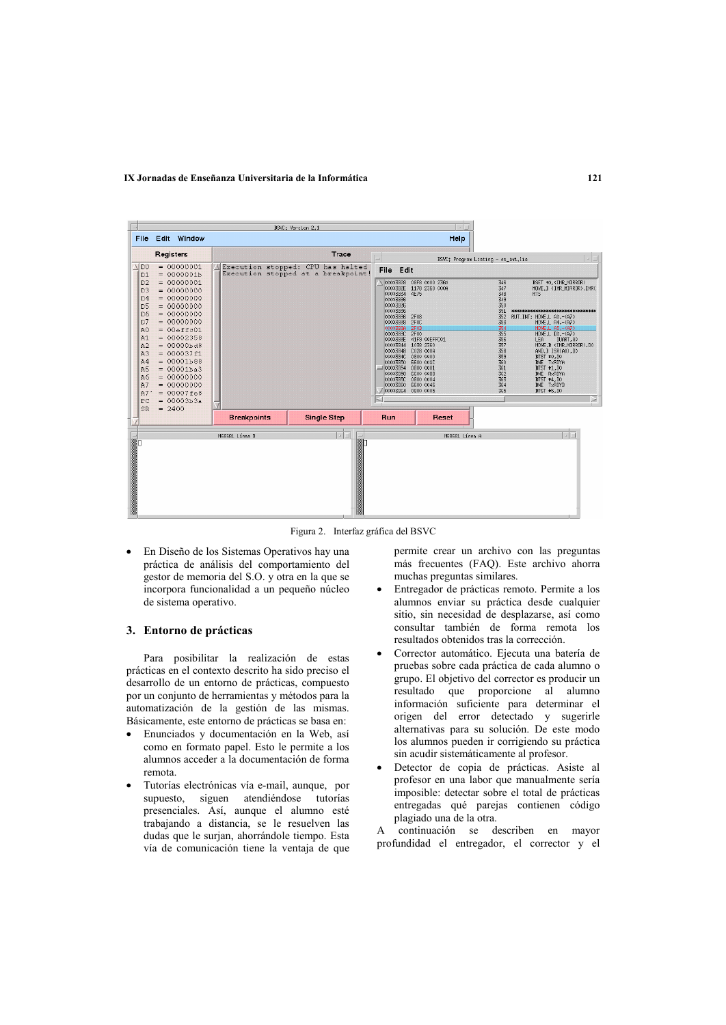#### IX Jornadas de Enseñanza Universitaria de la Informática



Figura 2. Interfaz gráfica del BSVC

· En Diseño de los Sistemas Operativos hay una práctica de análisis del comportamiento del gestor de memoria del S.O. y otra en la que se incorpora funcionalidad a un pequeño núcleo de sistema operativo.

#### 3. Entorno de prácticas

Para posibilitar la realización de estas prácticas en el contexto descrito ha sido preciso el desarrollo de un entorno de prácticas, compuesto por un conjunto de herramientas y métodos para la automatización de la gestión de las mismas. Básicamente, este entorno de prácticas se basa en:

- Enunciados y documentación en la Web, así como en formato papel. Esto le permite a los alumnos acceder a la documentación de forma remota.
- Tutorías electrónicas vía e-mail, aunque, por supuesto, siguen atendiéndose tutorías presenciales. Así, aunque el alumno esté trabajando a distancia, se le resuelven las dudas que le surjan, ahorrándole tiempo. Esta vía de comunicación tiene la ventaja de que

permite crear un archivo con las preguntas más frecuentes (FAQ). Este archivo ahorra muchas preguntas similares.

- Entregador de prácticas remoto. Permite a los alumnos enviar su práctica desde cualquier sitio, sin necesidad de desplazarse, así como consultar también de forma remota los resultados obtenidos tras la corrección.
- Corrector automático. Ejecuta una batería de pruebas sobre cada práctica de cada alumno o grupo. El objetivo del corrector es producir un resultado que proporcione al alumno información suficiente para determinar el origen del error detectado y sugerirle alternativas para su solución. De este modo los alumnos pueden ir corrigiendo su práctica sin acudir sistemáticamente al profesor.
- Detector de copia de prácticas. Asiste al profesor en una labor que manualmente sería imposible: detectar sobre el total de prácticas entregadas qué parejas contienen código plagiado una de la otra.

continuación se describen en mayor  $\overline{A}$ profundidad el entregador, el corrector y el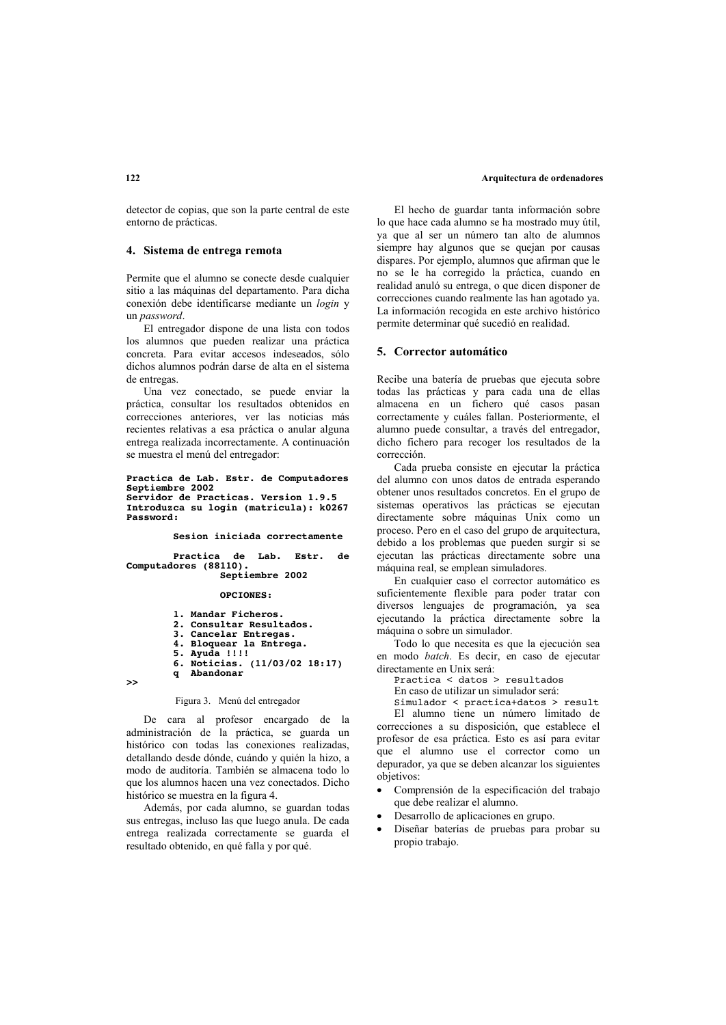detector de copias, que son la parte central de este entorno de prácticas.

### 4. Sistema de entrega remota

Permite que el alumno se conecte desde cualquier sitio a las máquinas del departamento. Para dicha conexión debe identificarse mediante un login y un password

El entregador dispone de una lista con todos los alumnos que pueden realizar una práctica concreta. Para evitar accesos indeseados, sólo dichos alumnos podrán darse de alta en el sistema de entregas

Una vez conectado, se puede enviar la práctica consultar los resultados obtenidos en correcciones anteriores, ver las noticias más recientes relativas a esa práctica o anular alguna entrega realizada incorrectamente. A continuación se muestra el menú del entregador:

#### Practica de Lab. Estr. de Computadores Septiembre 2002 Servidor de Practicas. Version 1.9.5 Introduzca su login (matricula): k0267 Password:

Sesion iniciada correctamente

Practica de Lab. Estr. de Computadores (88110). Septiembre 2002

OPCIONES:

```
1. Mandar Ficheros.
2. Consultar Resultados.
3. Cancelar Entregas.
4. Bloquear la Entrega.
5. Ayuda !!!!<br>6. Noticias. (11/03/02 18:17)
q Abandonar
```
 $\rightarrow$ 

#### Figura 3. Menú del entregador

De cara al profesor encargado de la administración de la práctica, se guarda un histórico con todas las conexiones realizadas, detallando desde dónde, cuándo y quién la hizo, a modo de auditoría. También se almacena todo lo que los alumnos hacen una vez conectados. Dicho histórico se muestra en la figura 4.

Además, por cada alumno, se guardan todas sus entregas, incluso las que luego anula. De cada entrega realizada correctamente se guarda el resultado obtenido, en qué falla y por qué.

El hecho de guardar tanta información sobre lo que hace cada alumno se ha mostrado muy útil, va que al ser un número tan alto de alumnos siempre hay algunos que se quejan por causas dispares. Por ejemplo, alumnos que afirman que le no se le ha corregido la práctica, cuando en realidad anuló su entrega, o que dicen disponer de correcciones cuando realmente las han agotado va La información recogida en este archivo histórico permite determinar qué sucedió en realidad.

### 5. Corrector automático

Recibe una batería de pruebas que ejecuta sobre todas las prácticas y para cada una de ellas almacena en un fichero qué casos pasan correctamente y cuáles fallan. Posteriormente, el alumno puede consultar, a través del entregador, dicho fichero para recoger los resultados de la corrección

Cada prueba consiste en ejecutar la práctica del alumno con unos datos de entrada esperando obtener unos resultados concretos. En el grupo de sistemas operativos las prácticas se ejecutan directamente sobre máquinas Unix como un proceso. Pero en el caso del grupo de arquitectura, debido a los problemas que pueden surgir si se ejecutan las prácticas directamente sobre una máquina real, se emplean simuladores.

En cualquier caso el corrector automático es suficientemente flexible para poder tratar con diversos lenguajes de programación, ya sea ejecutando la práctica directamente sobre la máquina o sobre un simulador.

Todo lo que necesita es que la ejecución sea en modo batch. Es decir, en caso de ejecutar directamente en Unix será:

Practica < datos > resultados

En caso de utilizar un simulador será:

Simulador < practica+datos > result El alumno tiene un número limitado de

correcciones a su disposición, que establece el profesor de esa práctica. Esto es así para evitar que el alumno use el corrector como un depurador, ya que se deben alcanzar los siguientes objetivos:

- Comprensión de la especificación del trabajo que debe realizar el alumno.
- Desarrollo de aplicaciones en grupo.
- Diseñar baterías de pruebas para probar su propio trabajo.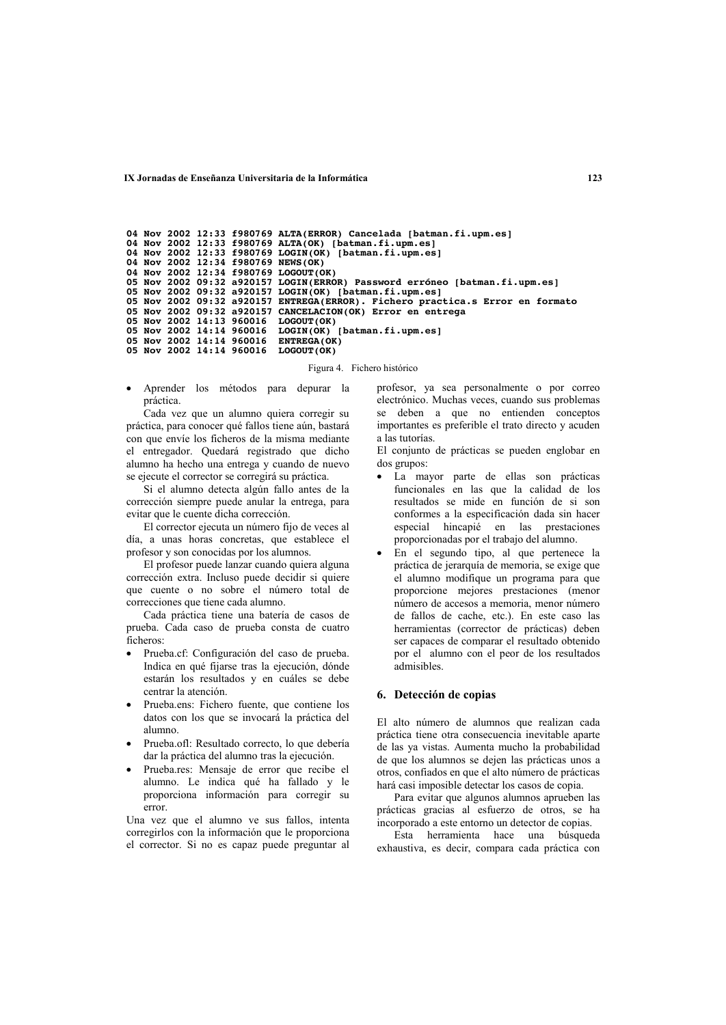**12.3 A 12.3 12.23** *A 12.23* **<b>***A 12.23 B E 12.3 <i>A 12.3 B <b>E 12.3* 

```
04 Nov 2002 12:33 f980769 ALTA(ERROR) Cancelada [batman.fi.upm.es]<br>04 Nov 2002 12:33 f980769 ALTA(OK) [batman.fi.upm.es]
04 Nov 2002 12:33 f980769 LOGIN(OK) [batman.fi.upm.es] 04 Nov 2002 12:34 f980769 NEWS(OK)
04 Nov 2002 12:34 f980769 LOGOUT(OK)
05 Nov 2002 09:32 a920157 LOGIN(ERRÓR) Password erróneo [batman.fi.upm.es]<br>05 Nov 2002 09:32 a920157 LOGIN(OK) [batman.fi.upm.es]<br>05 Nov 2002 09:32 a920157 ENTREGA(ERROR). Fichero practica.s Error en formato
05 Nov 2002 09:32 a920157 CANCELACION(OK) Error en entrega<br>05 Nov 2002 14:13 960016 LOGOUT(OK)<br>05 Nov 2002 14:14 960016 LOGOUT(OK)<br>05 Nov 2002 14:14 960016 LOGIN(OK) [batman.fi.upm.es]<br>05 Nov 2002 14:14 960016 ENTREGA(OK)
05 Nov 2002 14:14 960016 ENTREGA(OK)<br>05 Nov 2002 14:14 960016 LOGOUT(OK)
```
Figura 4. Fichero histórico

· Aprender los métodos para depurar la práctica.

Cada vez que un alumno quiera corregir su práctica, para conocer qué fallos tiene aún, bastará con que envíe los ficheros de la misma mediante el entregador. Quedará registrado que dicho alumno ha hecho una entrega y cuando de nuevo se ejecute el corrector se corregirá su práctica.

Si el alumno detecta algún fallo antes de la corrección siempre puede anular la entrega, para evitar que le cuente dicha corrección.

El corrector ejecuta un número fijo de veces al día, a unas horas concretas, que establece el profesor y son conocidas por los alumnos.

El profesor puede lanzar cuando quiera alguna corrección extra. Incluso puede decidir si quiere que cuente o no sobre el número total de correcciones que tiene cada alumno.

Cada práctica tiene una batería de casos de prueba. Cada caso de prueba consta de cuatro  $\hat{f}$  referos:

- . Prueba cf: Configuración del caso de prueba. Indica en qué fijarse tras la ejecución, dónde estarán los resultados y en cuáles se debe centrar la atención
- . Prueba.ens: Fichero fuente, que contiene los datos con los que se invocará la práctica del alumno
- . Prueba.ofl: Resultado correcto, lo que debería dar la práctica del alumno tras la ejecución.
- . Prueba.res: Mensaje de error que recibe el alumno. Le indica qué ha fallado y le proporciona información para corregir su error.

Una vez que el alumno ve sus fallos, intenta corregirlos con la información que le proporciona el corrector. Si no es capaz puede preguntar al

profesor, ya sea personalmente o por correo electrónico. Muchas veces, cuando sus problemas se deben a que no entienden conceptos importantes es preferible el trato directo y acuden a las tutorías.

El conjunto de prácticas se pueden englobar en dos grupos:

- · La mayor parte de ellas son prácticas  $funcionales$  en las que la calidad de los resultados se mide en función de si son conformes a la especificación dada sin hacer especial hincapié en las prestaciones proporcionadas por el trabajo del alumno.
- . En el segundo tipo, al que pertenece la práctica de jerarquía de memoria, se exige que el alumno modifique un programa para que proporcione mejores prestaciones (menor número de accesos a memoria, menor número de fallos de cache, etc.). En este caso las herramientas (corrector de prácticas) deben ser capaces de comparar el resultado obtenido por el alumno con el peor de los resultados admisibles.

### **6.** Detección de copias

El alto número de alumnos que realizan cada práctica tiene otra consecuencia inevitable aparte de las va vistas. Aumenta mucho la probabilidad de que los alumnos se dejen las prácticas unos a otros, confiados en que el alto número de prácticas hará casi imposible detectar los casos de copia.

Para evitar que algunos alumnos aprueben las prácticas gracias al esfuerzo de otros, se ha incorporado a este entorno un detector de copias.

Esta herramienta hace una búsqueda exhaustiva, es decir, compara cada práctica con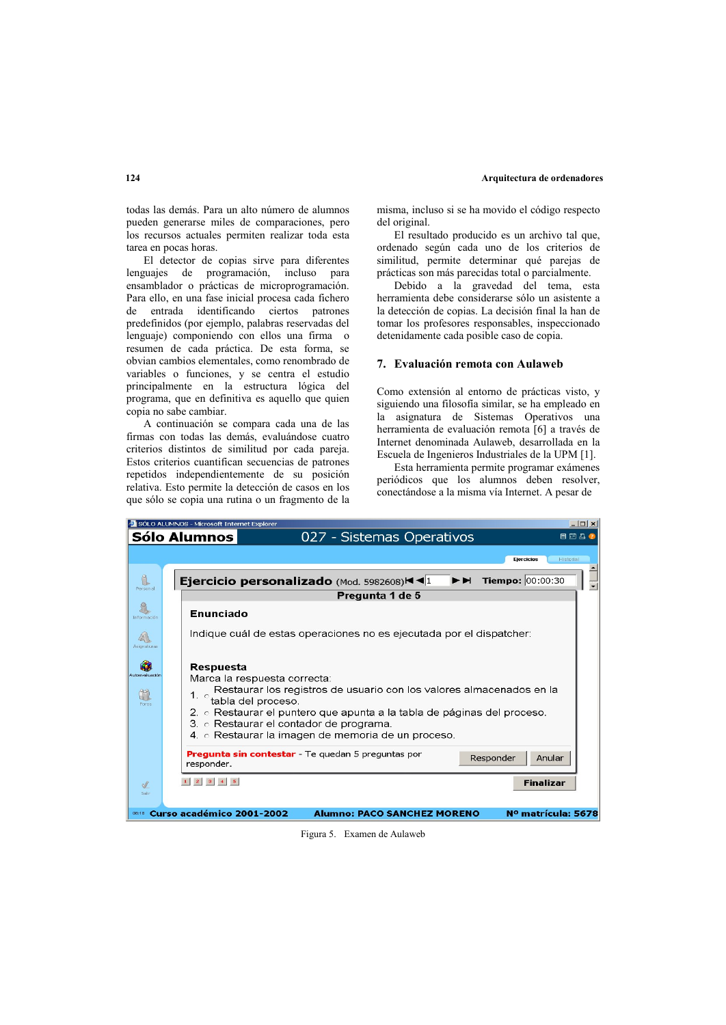todas las demás. Para un alto número de alumnos pueden generarse miles de comparaciones, pero los recursos actuales permiten realizar toda esta tarea en pocas horas.

El detector de copias sirve para diferentes lenguajes de programación, incluso para ensamblador o prácticas de microprogramación. Para ello, en una fase inicial procesa cada fichero de entrada identificando ciertos patrones predefinidos (por ejemplo, palabras reservadas del lenguaje) componiendo con ellos una firma o resumen de cada práctica. De esta forma, se obvian cambios elementales, como renombrado de variables o funciones, y se centra el estudio principalmente en la estructura lógica del programa, que en definitiva es aquello que quien copia no sabe cambiar.

A continuación se compara cada una de las firmas con todas las demás, evaluándose cuatro criterios distintos de similitud por cada pareja. Estos criterios cuantifican secuencias de patrones repetidos independientemente de su posición relativa. Esto permite la detección de casos en los que sólo se copia una rutina o un fragmento de la misma, incluso si se ha movido el código respecto del original.

El resultado producido es un archivo tal que. ordenado según cada uno de los criterios de similitud, permite determinar qué parejas de prácticas son más parecidas total o parcialmente.

Debido a la gravedad del tema, esta herramienta debe considerarse sólo un asistente a la detección de copias. La decisión final la han de tomar los profesores responsables, inspeccionado detenidamente cada posible caso de copia.

# 7. Evaluación remota con Aulaweb

Como extensión al entorno de prácticas visto, y siguiendo una filosofía similar, se ha empleado en la asignatura de Sistemas Operativos una herramienta de evaluación remota [6] a través de Internet denominada Aulaweb, desarrollada en la Escuela de Ingenieros Industriales de la UPM [1].

Esta herramienta permite programar exámenes periódicos que los alumnos deben resolver, conectándose a la misma vía Internet. A pesar de



#### Figura 5. Examen de Aulaweb

#### $124$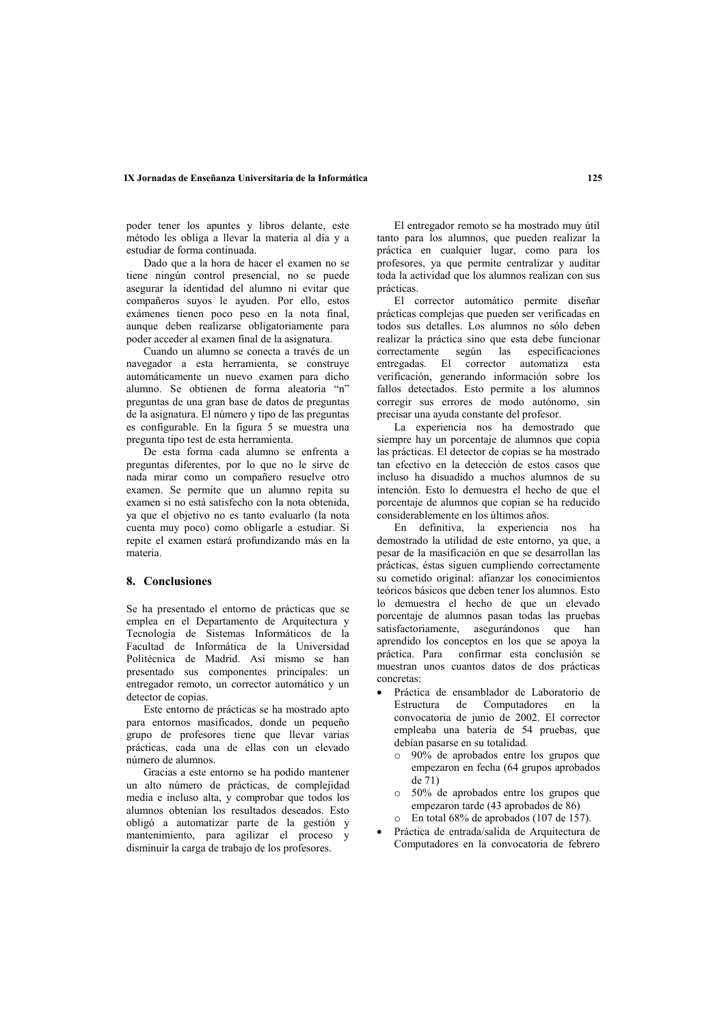#### **12.5 A 12.5 A 2.25 12.5** *A 2.25* **<b>***A 2.25* **<b>2.25** *A 2.25 B 3.25 A 2.25 B 3.25 B 3.25* **<b>***B 3.25*

poder tener los apuntes y libros delante, este método les obliga a llevar la materia al día y a estudiar de forma continuada.

Dado que a la hora de hacer el examen no se tiene ningún control presencial, no se puede asegurar la identidad del alumno ni evitar que compañeros suvos le avuden. Por ello, estos exámenes tienen poco peso en la nota final, aunque deben realizarse obligatoriamente para poder acceder al examen final de la asignatura.

Cuando un alumno se conecta a través de un navegador a esta herramienta, se construye automáticamente un nuevo examen para dicho alumno. Se obtienen de forma aleatoria "n" preguntas de una gran base de datos de preguntas de la asignatura. El número y tipo de las preguntas es configurable. En la figura  $5$  se muestra una pregunta tipo test de esta herramienta.

De esta forma cada alumno se enfrenta a preguntas diferentes, por lo que no le sirve de nada mirar como un compañero resuelve otro examen. Se permite que un alumno repita su examen si no está satisfecho con la nota obtenida, ya que el objetivo no es tanto evaluarlo (la nota cuenta muy poco) como obligarle a estudiar. Si repite el examen estará profundizando más en la materia

# **8.** Conclusiones

Se ha presentado el entorno de prácticas que se emplea en el Departamento de Arquitectura y Tecnología de Sistemas Informáticos de la Facultad de Informática de la Universidad Politécnica de Madrid. Así mismo se han presentado sus componentes principales: un  $\overline{0}$  entregador remoto, un corrector automático y un detector de copias.

Este entorno de prácticas se ha mostrado apto para entornos masificados, donde un pequeño grupo de profesores tiene que llevar varias prácticas, cada una de ellas con un elevado número de alumnos.

Gracias a este entorno se ha podido mantener un alto número de prácticas, de complejidad media e incluso alta, y comprobar que todos los alumnos obtenían los resultados deseados. Esto obligó a automatizar parte de la gestión y mantenimiento, para agilizar el proceso y disminuir la carga de trabajo de los profesores.

El entregador remoto se ha mostrado muy útil tanto para los alumnos, que pueden realizar la práctica en cualquier lugar, como para los profesores, va que permite centralizar y auditar toda la actividad que los alumnos realizan con sus prácticas.

El corrector automático permite diseñar prácticas complejas que pueden ser verificadas en  $\frac{1}{2}$  todos sus detalles. Los alumnos no sólo deben realizar la práctica sino que esta debe funcionar  $\overline{\text{correctamente}}$  según las especificaciones entregadas. El corrector automatiza esta verificación, generando información sobre los fallos detectados. Esto permite a los alumnos corregir sus errores de modo autónomo, sin precisar una avuda constante del profesor.

La experiencia nos ha demostrado que siempre hay un porcentaje de alumnos que copia las prácticas. El detector de copias se ha mostrado tan efectivo en la detección de estos casos que incluso ha disuadido a muchos alumnos de su intención. Esto lo demuestra el hecho de que el porcentaje de alumnos que copian se ha reducido  $\cos$  sonsiderablemente en los últimos años.

En definitiva, la experiencia nos ha demostrado la utilidad de este entorno, ya que, a pesar de la masificación en que se desarrollan las prácticas, éstas siguen cumpliendo correctamente su cometido original: afianzar los conocimientos teóricos básicos que deben tener los alumnos. Esto lo demuestra el hecho de que un elevado porcentaje de alumnos pasan todas las pruebas satisfactoriamente, asegurándonos que han aprendido los conceptos en los que se apoya la  $n$ ráctica Para confirmar esta conclusión se muestran unos cuantos datos de dos prácticas concretas:

- · Práctica de ensamblador de Laboratorio de Estructura de Computadores en la convocatoria de junio de 2002. El corrector empleaba una batería de 54 pruebas, que debían pasarse en su totalidad.
	- $\circ$  90% de aprobados entre los grupos que empezaron en fecha (64 grupos aprobados de  $71)$
	- $\circ$  50% de aprobados entre los grupos que empezaron tarde (43 aprobados de 86)  $\circ$  En total 68% de aprobados (107 de 157).
	- Práctica de entrada/salida de Arquitectura de
- Computadores en la convocatoria de febrero